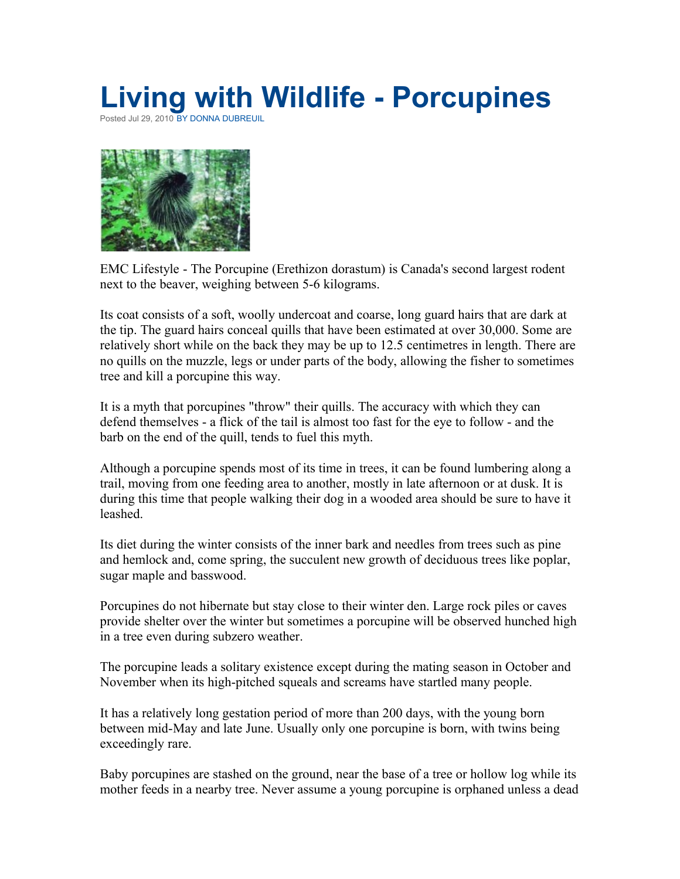## **Living with Wildlife - Porcupines**

Posted Jul 29, 2010 [BY DONNA DUBREUIL](http://www.emcottawasouth.ca/author/Donna+Dubreuil)



EMC Lifestyle - The Porcupine (Erethizon dorastum) is Canada's second largest rodent next to the beaver, weighing between 5-6 kilograms.

Its coat consists of a soft, woolly undercoat and coarse, long guard hairs that are dark at the tip. The guard hairs conceal quills that have been estimated at over 30,000. Some are relatively short while on the back they may be up to 12.5 centimetres in length. There are no quills on the muzzle, legs or under parts of the body, allowing the fisher to sometimes tree and kill a porcupine this way.

It is a myth that porcupines "throw" their quills. The accuracy with which they can defend themselves - a flick of the tail is almost too fast for the eye to follow - and the barb on the end of the quill, tends to fuel this myth.

Although a porcupine spends most of its time in trees, it can be found lumbering along a trail, moving from one feeding area to another, mostly in late afternoon or at dusk. It is during this time that people walking their dog in a wooded area should be sure to have it leashed.

Its diet during the winter consists of the inner bark and needles from trees such as pine and hemlock and, come spring, the succulent new growth of deciduous trees like poplar, sugar maple and basswood.

Porcupines do not hibernate but stay close to their winter den. Large rock piles or caves provide shelter over the winter but sometimes a porcupine will be observed hunched high in a tree even during subzero weather.

The porcupine leads a solitary existence except during the mating season in October and November when its high-pitched squeals and screams have startled many people.

It has a relatively long gestation period of more than 200 days, with the young born between mid-May and late June. Usually only one porcupine is born, with twins being exceedingly rare.

Baby porcupines are stashed on the ground, near the base of a tree or hollow log while its mother feeds in a nearby tree. Never assume a young porcupine is orphaned unless a dead